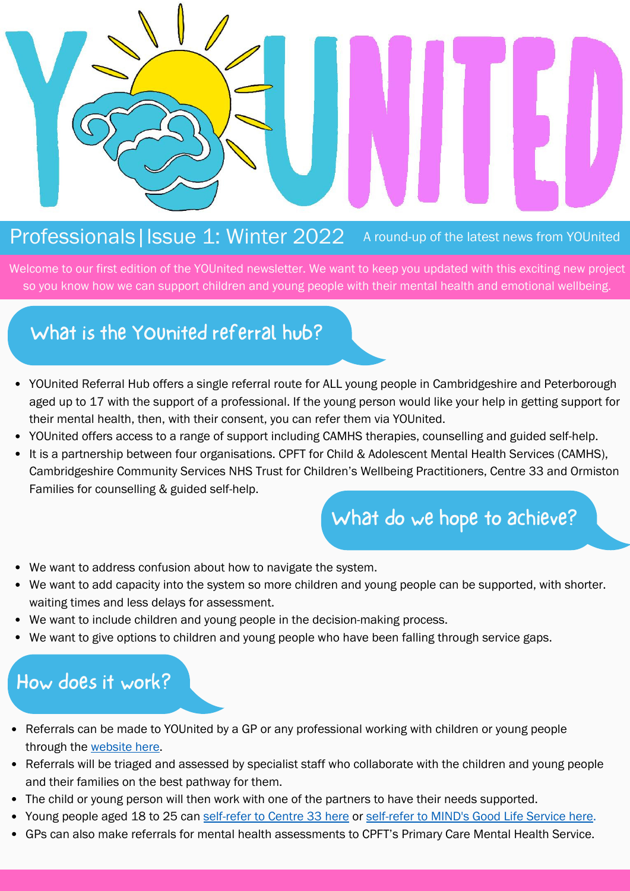#### Professionals | Issue 1: Winter 2022 A round-up of the latest news from YOUnited

Welcome to our first edition of the YOUnited newsletter. We want to keep you updated with this exciting new project so you know how we can support children and young people with their mental health and emotional wellbeing.

### What is the YOUnited referral hub?

- $\mathsf d$ . YOUnited Referral Hub offers a single referral route for ALL young people in Cambridgeshire and Peterborough aged up to 17 with the support of a professional. If the young person would like your help in getting support for their mental health, then, with their consent, you can refer them via YOUnited.
- YOUnited offers access to a range of support including CAMHS therapies, counselling and guided self-help.
- Cambridgeshire Community Services NHS Trust for Children's Wellbeing Practitioners, Centre 33 and Ormiston<br>Families for courselling & guided self-halp It is a partnership between four organisations. CPFT for Child & Adolescent Mental Health Services (CAMHS), Families for counselling & guided self-help.

# What do we hope to achieve?

- We want to address confusion about how to navigate the system.
- We want to add capacity into the system so more children and young people can be supported, with shorter. waiting times and less delays for assessment.
- We want to include children and young people in the decision-making process.
- We want to give options to children and young people who have been falling through service gaps.

#### How does it work?

- Announcements, Events, Referrals can be made to YOUnited by a GP or any professional working with children or young people through the [website here.](https://www.cpft.nhs.uk/gpandprimarycare)
- Referrals will be triaged and assessed by specialist staff who collaborate with the children and young people and their families on the best pathway for them.
- The child or young person will then work with one of the partners to have their needs supported.
- Young people aged 18 to 25 can [self-refer to Centre 33 here](https://centre33.org.uk/contact/) or [self-refer to MIND's Good Life Service here](http://cpslmind.org.uk/)[.](https://www.cpslmind.org.uk/goodlife/)
- GPs can also make referrals for mental health assessments to [CPFT's Primary Care Mental Health Service](https://www.cpft.nhs.uk/referrals-to-the-primary-care-mental-health-service).